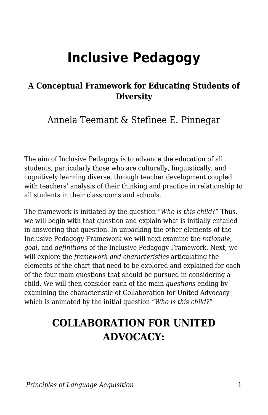# **Inclusive Pedagogy**

#### **A Conceptual Framework for Educating Students of Diversity**

Annela Teemant & Stefinee E. Pinnegar

The aim of Inclusive Pedagogy is to advance the education of all students, particularly those who are culturally, linguistically, and cognitively learning diverse, through teacher development coupled with teachers' analysis of their thinking and practice in relationship to all students in their classrooms and schools.

The framework is initiated by the question "*Who is this child?*" Thus, we will begin with that question and explain what is initially entailed in answering that question. In unpacking the other elements of the Inclusive Pedagogy Framework we will next examine the *rationale*, *goal*, and *definitions* of the Inclusive Pedagogy Framework. Next, we will explore the *framework and characteristics* articulating the elements of the chart that need to be explored and explained for each of the four main questions that should be pursued in considering a child. We will then consider each of the main *questions* ending by examining the characteristic of Collaboration for United Advocacy which is animated by the initial question "*Who is this child?*"

## **COLLABORATION FOR UNITED ADVOCACY:**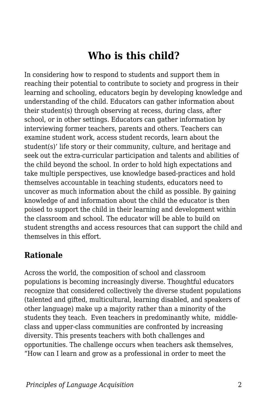## **Who is this child?**

In considering how to respond to students and support them in reaching their potential to contribute to society and progress in their learning and schooling, educators begin by developing knowledge and understanding of the child. Educators can gather information about their student(s) through observing at recess, during class, after school, or in other settings. Educators can gather information by interviewing former teachers, parents and others. Teachers can examine student work, access student records, learn about the student(s)' life story or their community, culture, and heritage and seek out the extra-curricular participation and talents and abilities of the child beyond the school. In order to hold high expectations and take multiple perspectives, use knowledge based-practices and hold themselves accountable in teaching students, educators need to uncover as much information about the child as possible. By gaining knowledge of and information about the child the educator is then poised to support the child in their learning and development within the classroom and school. The educator will be able to build on student strengths and access resources that can support the child and themselves in this effort.

#### **Rationale**

Across the world, the composition of school and classroom populations is becoming increasingly diverse. Thoughtful educators recognize that considered collectively the diverse student populations (talented and gifted, multicultural, learning disabled, and speakers of other language) make up a majority rather than a minority of the students they teach. Even teachers in predominantly white, middleclass and upper-class communities are confronted by increasing diversity. This presents teachers with both challenges and opportunities. The challenge occurs when teachers ask themselves, "How can I learn and grow as a professional in order to meet the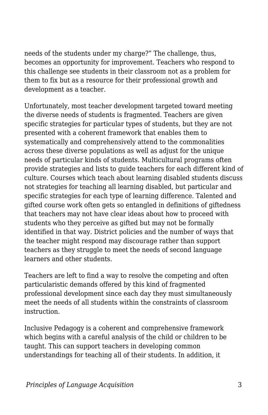needs of the students under my charge?" The challenge, thus, becomes an opportunity for improvement. Teachers who respond to this challenge see students in their classroom not as a problem for them to fix but as a resource for their professional growth and development as a teacher.

Unfortunately, most teacher development targeted toward meeting the diverse needs of students is fragmented. Teachers are given specific strategies for particular types of students, but they are not presented with a coherent framework that enables them to systematically and comprehensively attend to the commonalities across these diverse populations as well as adjust for the unique needs of particular kinds of students. Multicultural programs often provide strategies and lists to guide teachers for each different kind of culture. Courses which teach about learning disabled students discuss not strategies for teaching all learning disabled, but particular and specific strategies for each type of learning difference. Talented and gifted course work often gets so entangled in definitions of giftedness that teachers may not have clear ideas about how to proceed with students who they perceive as gifted but may not be formally identified in that way. District policies and the number of ways that the teacher might respond may discourage rather than support teachers as they struggle to meet the needs of second language learners and other students.

Teachers are left to find a way to resolve the competing and often particularistic demands offered by this kind of fragmented professional development since each day they must simultaneously meet the needs of all students within the constraints of classroom instruction.

Inclusive Pedagogy is a coherent and comprehensive framework which begins with a careful analysis of the child or children to be taught. This can support teachers in developing common understandings for teaching all of their students. In addition, it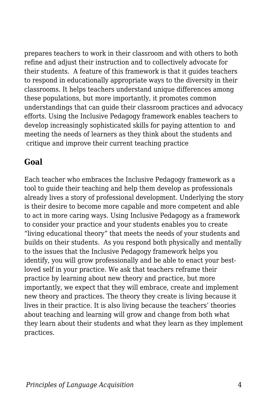prepares teachers to work in their classroom and with others to both refine and adjust their instruction and to collectively advocate for their students. A feature of this framework is that it guides teachers to respond in educationally appropriate ways to the diversity in their classrooms. It helps teachers understand unique differences among these populations, but more importantly, it promotes common understandings that can guide their classroom practices and advocacy efforts. Using the Inclusive Pedagogy framework enables teachers to develop increasingly sophisticated skills for paying attention to and meeting the needs of learners as they think about the students and critique and improve their current teaching practice

#### **Goal**

Each teacher who embraces the Inclusive Pedagogy framework as a tool to guide their teaching and help them develop as professionals already lives a story of professional development. Underlying the story is their desire to become more capable and more competent and able to act in more caring ways. Using Inclusive Pedagogy as a framework to consider your practice and your students enables you to create "living educational theory" that meets the needs of your students and builds on their students. As you respond both physically and mentally to the issues that the Inclusive Pedagogy framework helps you identify, you will grow professionally and be able to enact your bestloved self in your practice. We ask that teachers reframe their practice by learning about new theory and practice, but more importantly, we expect that they will embrace, create and implement new theory and practices. The theory they create is living because it lives in their practice. It is also living because the teachers' theories about teaching and learning will grow and change from both what they learn about their students and what they learn as they implement practices.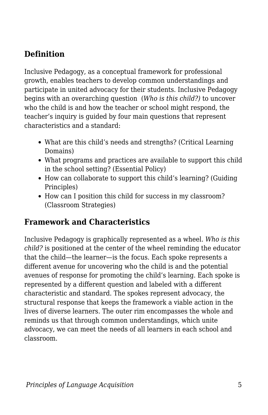### **Definition**

Inclusive Pedagogy, as a conceptual framework for professional growth, enables teachers to develop common understandings and participate in united advocacy for their students. Inclusive Pedagogy begins with an overarching question (*Who is this child?)* to uncover who the child is and how the teacher or school might respond, the teacher's inquiry is guided by four main questions that represent characteristics and a standard:

- What are this child's needs and strengths? (Critical Learning Domains)
- What programs and practices are available to support this child in the school setting? (Essential Policy)
- How can collaborate to support this child's learning? (Guiding Principles)
- How can I position this child for success in my classroom? (Classroom Strategies)

#### **Framework and Characteristics**

Inclusive Pedagogy is graphically represented as a wheel. *Who is this child?* is positioned at the center of the wheel reminding the educator that the child—the learner—is the focus. Each spoke represents a different avenue for uncovering who the child is and the potential avenues of response for promoting the child's learning. Each spoke is represented by a different question and labeled with a different characteristic and standard. The spokes represent advocacy, the structural response that keeps the framework a viable action in the lives of diverse learners. The outer rim encompasses the whole and reminds us that through common understandings, which unite advocacy, we can meet the needs of all learners in each school and classroom.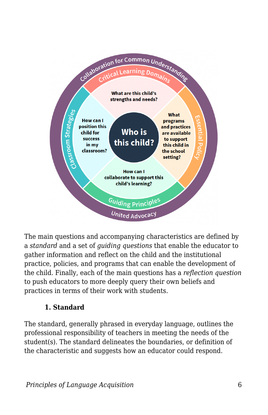

The main questions and accompanying characteristics are defined by a *standard* and a set of *guiding questions* that enable the educator to gather information and reflect on the child and the institutional practice, policies, and programs that can enable the development of the child. Finally, each of the main questions has a *reflection question* to push educators to more deeply query their own beliefs and practices in terms of their work with students.

#### **1. Standard**

The standard, generally phrased in everyday language, outlines the professional responsibility of teachers in meeting the needs of the student(s). The standard delineates the boundaries, or definition of the characteristic and suggests how an educator could respond.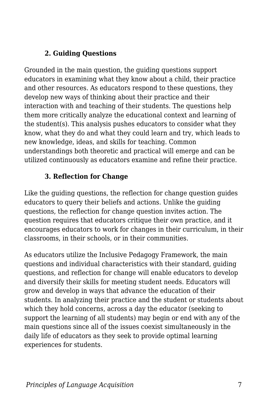#### **2. Guiding Questions**

Grounded in the main question, the guiding questions support educators in examining what they know about a child, their practice and other resources. As educators respond to these questions, they develop new ways of thinking about their practice and their interaction with and teaching of their students. The questions help them more critically analyze the educational context and learning of the student(s). This analysis pushes educators to consider what they know, what they do and what they could learn and try, which leads to new knowledge, ideas, and skills for teaching. Common understandings both theoretic and practical will emerge and can be utilized continuously as educators examine and refine their practice.

#### **3. Reflection for Change**

Like the guiding questions, the reflection for change question guides educators to query their beliefs and actions. Unlike the guiding questions, the reflection for change question invites action. The question requires that educators critique their own practice, and it encourages educators to work for changes in their curriculum, in their classrooms, in their schools, or in their communities.

As educators utilize the Inclusive Pedagogy Framework, the main questions and individual characteristics with their standard, guiding questions, and reflection for change will enable educators to develop and diversify their skills for meeting student needs. Educators will grow and develop in ways that advance the education of their students. In analyzing their practice and the student or students about which they hold concerns, across a day the educator (seeking to support the learning of all students) may begin or end with any of the main questions since all of the issues coexist simultaneously in the daily life of educators as they seek to provide optimal learning experiences for students.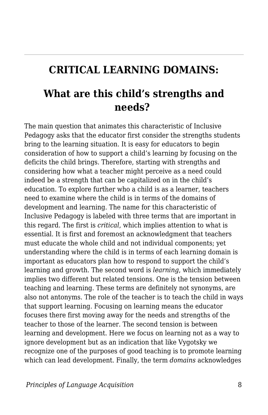## **CRITICAL LEARNING DOMAINS:**

## **What are this child's strengths and needs?**

The main question that animates this characteristic of Inclusive Pedagogy asks that the educator first consider the strengths students bring to the learning situation. It is easy for educators to begin consideration of how to support a child's learning by focusing on the deficits the child brings. Therefore, starting with strengths and considering how what a teacher might perceive as a need could indeed be a strength that can be capitalized on in the child's education. To explore further who a child is as a learner, teachers need to examine where the child is in terms of the domains of development and learning. The name for this characteristic of Inclusive Pedagogy is labeled with three terms that are important in this regard. The first is *critical*, which implies attention to what is essential. It is first and foremost an acknowledgment that teachers must educate the whole child and not individual components; yet understanding where the child is in terms of each learning domain is important as educators plan how to respond to support the child's learning and growth. The second word is *learning*, which immediately implies two different but related tensions. One is the tension between teaching and learning. These terms are definitely not synonyms, are also not antonyms. The role of the teacher is to teach the child in ways that support learning. Focusing on learning means the educator focuses there first moving away for the needs and strengths of the teacher to those of the learner. The second tension is between learning and development. Here we focus on learning not as a way to ignore development but as an indication that like Vygotsky we recognize one of the purposes of good teaching is to promote learning which can lead development. Finally, the term *domains* acknowledges

*Principles of Language Acquisition* 8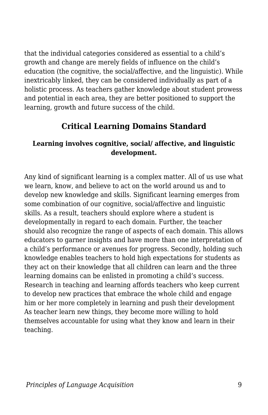that the individual categories considered as essential to a child's growth and change are merely fields of influence on the child's education (the cognitive, the social/affective, and the linguistic). While inextricably linked, they can be considered individually as part of a holistic process. As teachers gather knowledge about student prowess and potential in each area, they are better positioned to support the learning, growth and future success of the child.

#### **Critical Learning Domains Standard**

#### **Learning involves cognitive, social/ affective, and linguistic development.**

Any kind of significant learning is a complex matter. All of us use what we learn, know, and believe to act on the world around us and to develop new knowledge and skills. Significant learning emerges from some combination of our cognitive, social/affective and linguistic skills. As a result, teachers should explore where a student is developmentally in regard to each domain. Further, the teacher should also recognize the range of aspects of each domain. This allows educators to garner insights and have more than one interpretation of a child's performance or avenues for progress. Secondly, holding such knowledge enables teachers to hold high expectations for students as they act on their knowledge that all children can learn and the three learning domains can be enlisted in promoting a child's success. Research in teaching and learning affords teachers who keep current to develop new practices that embrace the whole child and engage him or her more completely in learning and push their development As teacher learn new things, they become more willing to hold themselves accountable for using what they know and learn in their teaching.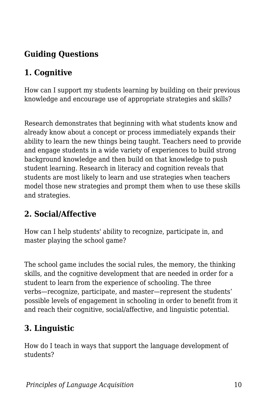## **Guiding Questions**

### **1. Cognitive**

How can I support my students learning by building on their previous knowledge and encourage use of appropriate strategies and skills?

Research demonstrates that beginning with what students know and already know about a concept or process immediately expands their ability to learn the new things being taught. Teachers need to provide and engage students in a wide variety of experiences to build strong background knowledge and then build on that knowledge to push student learning. Research in literacy and cognition reveals that students are most likely to learn and use strategies when teachers model those new strategies and prompt them when to use these skills and strategies.

#### **2. Social/Affective**

How can I help students' ability to recognize, participate in, and master playing the school game?

The school game includes the social rules, the memory, the thinking skills, and the cognitive development that are needed in order for a student to learn from the experience of schooling. The three verbs—recognize, participate, and master—represent the students' possible levels of engagement in schooling in order to benefit from it and reach their cognitive, social/affective, and linguistic potential.

## **3. Linguistic**

How do I teach in ways that support the language development of students?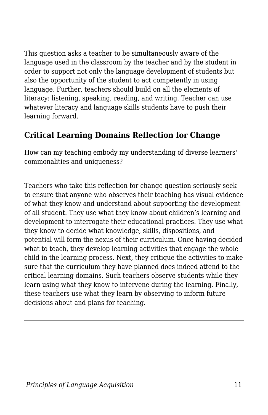This question asks a teacher to be simultaneously aware of the language used in the classroom by the teacher and by the student in order to support not only the language development of students but also the opportunity of the student to act competently in using language. Further, teachers should build on all the elements of literacy: listening, speaking, reading, and writing. Teacher can use whatever literacy and language skills students have to push their learning forward.

#### **Critical Learning Domains Reflection for Change**

How can my teaching embody my understanding of diverse learners' commonalities and uniqueness?

Teachers who take this reflection for change question seriously seek to ensure that anyone who observes their teaching has visual evidence of what they know and understand about supporting the development of all student. They use what they know about children's learning and development to interrogate their educational practices. They use what they know to decide what knowledge, skills, dispositions, and potential will form the nexus of their curriculum. Once having decided what to teach, they develop learning activities that engage the whole child in the learning process. Next, they critique the activities to make sure that the curriculum they have planned does indeed attend to the critical learning domains. Such teachers observe students while they learn using what they know to intervene during the learning. Finally, these teachers use what they learn by observing to inform future decisions about and plans for teaching.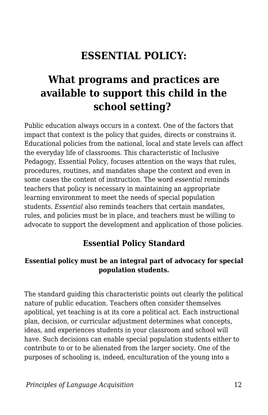## **ESSENTIAL POLICY:**

## **What programs and practices are available to support this child in the school setting?**

Public education always occurs in a context. One of the factors that impact that context is the policy that guides, directs or constrains it. Educational policies from the national, local and state levels can affect the everyday life of classrooms. This characteristic of Inclusive Pedagogy, Essential Policy, focuses attention on the ways that rules, procedures, routines, and mandates shape the context and even in some cases the content of instruction. The word *essential* reminds teachers that policy is necessary in maintaining an appropriate learning environment to meet the needs of special population students. *Essential* also reminds teachers that certain mandates, rules, and policies must be in place, and teachers must be willing to advocate to support the development and application of those policies.

#### **Essential Policy Standard**

#### **Essential policy must be an integral part of advocacy for special population students.**

The standard guiding this characteristic points out clearly the political nature of public education. Teachers often consider themselves apolitical, yet teaching is at its core a political act. Each instructional plan, decision, or curricular adjustment determines what concepts, ideas, and experiences students in your classroom and school will have. Such decisions can enable special population students either to contribute to or to be alienated from the larger society. One of the purposes of schooling is, indeed, enculturation of the young into a

*Principles of Language Acquisition* 12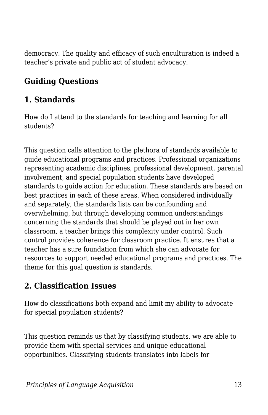democracy. The quality and efficacy of such enculturation is indeed a teacher's private and public act of student advocacy.

#### **Guiding Questions**

#### **1. Standards**

How do I attend to the standards for teaching and learning for all students?

This question calls attention to the plethora of standards available to guide educational programs and practices. Professional organizations representing academic disciplines, professional development, parental involvement, and special population students have developed standards to guide action for education. These standards are based on best practices in each of these areas. When considered individually and separately, the standards lists can be confounding and overwhelming, but through developing common understandings concerning the standards that should be played out in her own classroom, a teacher brings this complexity under control. Such control provides coherence for classroom practice. It ensures that a teacher has a sure foundation from which she can advocate for resources to support needed educational programs and practices. The theme for this goal question is standards.

### **2. Classification Issues**

How do classifications both expand and limit my ability to advocate for special population students?

This question reminds us that by classifying students, we are able to provide them with special services and unique educational opportunities. Classifying students translates into labels for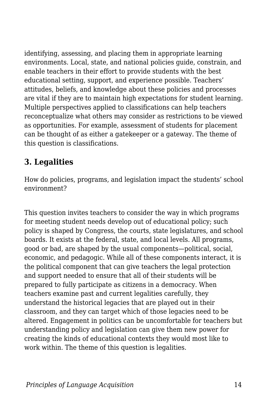identifying, assessing, and placing them in appropriate learning environments. Local, state, and national policies guide, constrain, and enable teachers in their effort to provide students with the best educational setting, support, and experience possible. Teachers' attitudes, beliefs, and knowledge about these policies and processes are vital if they are to maintain high expectations for student learning. Multiple perspectives applied to classifications can help teachers reconceptualize what others may consider as restrictions to be viewed as opportunities. For example, assessment of students for placement can be thought of as either a gatekeeper or a gateway. The theme of this question is classifications.

#### **3. Legalities**

How do policies, programs, and legislation impact the students' school environment?

This question invites teachers to consider the way in which programs for meeting student needs develop out of educational policy; such policy is shaped by Congress, the courts, state legislatures, and school boards. It exists at the federal, state, and local levels. All programs, good or bad, are shaped by the usual components—political, social, economic, and pedagogic. While all of these components interact, it is the political component that can give teachers the legal protection and support needed to ensure that all of their students will be prepared to fully participate as citizens in a democracy. When teachers examine past and current legalities carefully, they understand the historical legacies that are played out in their classroom, and they can target which of those legacies need to be altered. Engagement in politics can be uncomfortable for teachers but understanding policy and legislation can give them new power for creating the kinds of educational contexts they would most like to work within. The theme of this question is legalities.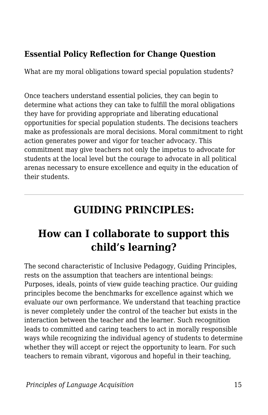#### **Essential Policy Reflection for Change Question**

What are my moral obligations toward special population students?

Once teachers understand essential policies, they can begin to determine what actions they can take to fulfill the moral obligations they have for providing appropriate and liberating educational opportunities for special population students. The decisions teachers make as professionals are moral decisions. Moral commitment to right action generates power and vigor for teacher advocacy. This commitment may give teachers not only the impetus to advocate for students at the local level but the courage to advocate in all political arenas necessary to ensure excellence and equity in the education of their students.

## **GUIDING PRINCIPLES:**

## **How can I collaborate to support this child's learning?**

The second characteristic of Inclusive Pedagogy, Guiding Principles, rests on the assumption that teachers are intentional beings: Purposes, ideals, points of view guide teaching practice. Our guiding principles become the benchmarks for excellence against which we evaluate our own performance. We understand that teaching practice is never completely under the control of the teacher but exists in the interaction between the teacher and the learner. Such recognition leads to committed and caring teachers to act in morally responsible ways while recognizing the individual agency of students to determine whether they will accept or reject the opportunity to learn. For such teachers to remain vibrant, vigorous and hopeful in their teaching,

*Principles of Language Acquisition* 15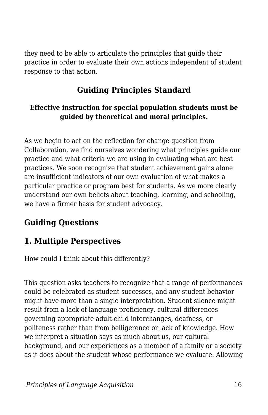they need to be able to articulate the principles that guide their practice in order to evaluate their own actions independent of student response to that action.

### **Guiding Principles Standard**

#### **Effective instruction for special population students must be guided by theoretical and moral principles.**

As we begin to act on the reflection for change question from Collaboration, we find ourselves wondering what principles guide our practice and what criteria we are using in evaluating what are best practices. We soon recognize that student achievement gains alone are insufficient indicators of our own evaluation of what makes a particular practice or program best for students. As we more clearly understand our own beliefs about teaching, learning, and schooling, we have a firmer basis for student advocacy.

#### **Guiding Questions**

#### **1. Multiple Perspectives**

How could I think about this differently?

This question asks teachers to recognize that a range of performances could be celebrated as student successes, and any student behavior might have more than a single interpretation. Student silence might result from a lack of language proficiency, cultural differences governing appropriate adult-child interchanges, deafness, or politeness rather than from belligerence or lack of knowledge. How we interpret a situation says as much about us, our cultural background, and our experiences as a member of a family or a society as it does about the student whose performance we evaluate. Allowing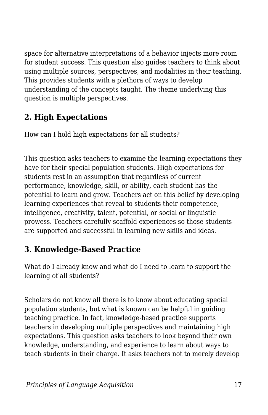space for alternative interpretations of a behavior injects more room for student success. This question also guides teachers to think about using multiple sources, perspectives, and modalities in their teaching. This provides students with a plethora of ways to develop understanding of the concepts taught. The theme underlying this question is multiple perspectives.

### **2. High Expectations**

How can I hold high expectations for all students?

This question asks teachers to examine the learning expectations they have for their special population students. High expectations for students rest in an assumption that regardless of current performance, knowledge, skill, or ability, each student has the potential to learn and grow. Teachers act on this belief by developing learning experiences that reveal to students their competence, intelligence, creativity, talent, potential, or social or linguistic prowess. Teachers carefully scaffold experiences so those students are supported and successful in learning new skills and ideas.

### **3. Knowledge-Based Practice**

What do I already know and what do I need to learn to support the learning of all students?

Scholars do not know all there is to know about educating special population students, but what is known can be helpful in guiding teaching practice. In fact, knowledge-based practice supports teachers in developing multiple perspectives and maintaining high expectations. This question asks teachers to look beyond their own knowledge, understanding, and experience to learn about ways to teach students in their charge. It asks teachers not to merely develop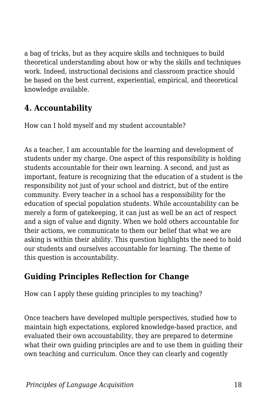a bag of tricks, but as they acquire skills and techniques to build theoretical understanding about how or why the skills and techniques work. Indeed, instructional decisions and classroom practice should be based on the best current, experiential, empirical, and theoretical knowledge available.

### **4. Accountability**

How can I hold myself and my student accountable?

As a teacher, I am accountable for the learning and development of students under my charge. One aspect of this responsibility is holding students accountable for their own learning. A second, and just as important, feature is recognizing that the education of a student is the responsibility not just of your school and district, but of the entire community. Every teacher in a school has a responsibility for the education of special population students. While accountability can be merely a form of gatekeeping, it can just as well be an act of respect and a sign of value and dignity. When we hold others accountable for their actions, we communicate to them our belief that what we are asking is within their ability. This question highlights the need to hold our students and ourselves accountable for learning. The theme of this question is accountability.

### **Guiding Principles Reflection for Change**

How can I apply these guiding principles to my teaching?

Once teachers have developed multiple perspectives, studied how to maintain high expectations, explored knowledge-based practice, and evaluated their own accountability, they are prepared to determine what their own guiding principles are and to use them in guiding their own teaching and curriculum. Once they can clearly and cogently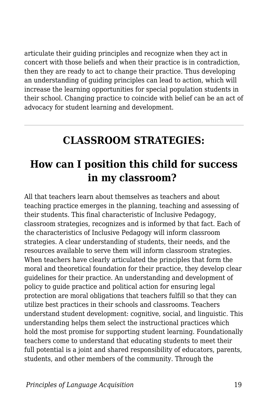articulate their guiding principles and recognize when they act in concert with those beliefs and when their practice is in contradiction, then they are ready to act to change their practice. Thus developing an understanding of guiding principles can lead to action, which will increase the learning opportunities for special population students in their school. Changing practice to coincide with belief can be an act of advocacy for student learning and development.

## **CLASSROOM STRATEGIES:**

## **How can I position this child for success in my classroom?**

All that teachers learn about themselves as teachers and about teaching practice emerges in the planning, teaching and assessing of their students. This final characteristic of Inclusive Pedagogy, classroom strategies, recognizes and is informed by that fact. Each of the characteristics of Inclusive Pedagogy will inform classroom strategies. A clear understanding of students, their needs, and the resources available to serve them will inform classroom strategies. When teachers have clearly articulated the principles that form the moral and theoretical foundation for their practice, they develop clear guidelines for their practice. An understanding and development of policy to guide practice and political action for ensuring legal protection are moral obligations that teachers fulfill so that they can utilize best practices in their schools and classrooms. Teachers understand student development: cognitive, social, and linguistic. This understanding helps them select the instructional practices which hold the most promise for supporting student learning. Foundationally teachers come to understand that educating students to meet their full potential is a joint and shared responsibility of educators, parents, students, and other members of the community. Through the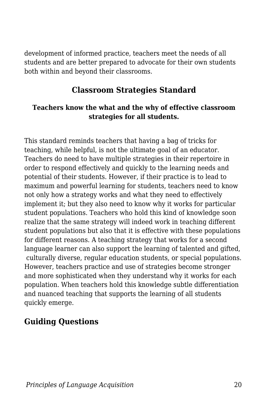development of informed practice, teachers meet the needs of all students and are better prepared to advocate for their own students both within and beyond their classrooms.

#### **Classroom Strategies Standard**

#### **Teachers know the what and the why of effective classroom strategies for all students.**

This standard reminds teachers that having a bag of tricks for teaching, while helpful, is not the ultimate goal of an educator. Teachers do need to have multiple strategies in their repertoire in order to respond effectively and quickly to the learning needs and potential of their students. However, if their practice is to lead to maximum and powerful learning for students, teachers need to know not only how a strategy works and what they need to effectively implement it; but they also need to know why it works for particular student populations. Teachers who hold this kind of knowledge soon realize that the same strategy will indeed work in teaching different student populations but also that it is effective with these populations for different reasons. A teaching strategy that works for a second language learner can also support the learning of talented and gifted, culturally diverse, regular education students, or special populations. However, teachers practice and use of strategies become stronger and more sophisticated when they understand why it works for each population. When teachers hold this knowledge subtle differentiation and nuanced teaching that supports the learning of all students quickly emerge.

### **Guiding Questions**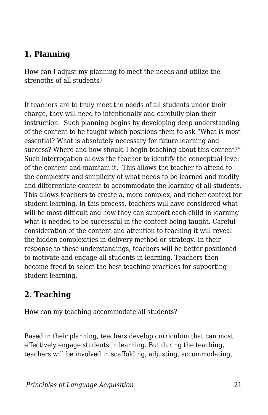### **1. Planning**

How can I adjust my planning to meet the needs and utilize the strengths of all students?

If teachers are to truly meet the needs of all students under their charge, they will need to intentionally and carefully plan their instruction. Such planning begins by developing deep understanding of the content to be taught which positions them to ask "What is most essential? What is absolutely necessary for future learning and success? Where and how should I begin teaching about this content?" Such interrogation allows the teacher to identify the conceptual level of the content and maintain it. This allows the teacher to attend to the complexity and simplicity of what needs to be learned and modify and differentiate content to accommodate the learning of all students. This allows teachers to create a, more complex, and richer context for student learning. In this process, teachers will have considered what will be most difficult and how they can support each child in learning what is needed to be successful in the content being taught. Careful consideration of the content and attention to teaching it will reveal the hidden complexities in delivery method or strategy. In their response to these understandings, teachers will be better positioned to motivate and engage all students in learning. Teachers then become freed to select the best teaching practices for supporting student learning.

### **2. Teaching**

How can my teaching accommodate all students?

Based in their planning, teachers develop curriculum that can most effectively engage students in learning. But during the teaching, teachers will be involved in scaffolding, adjusting, accommodating,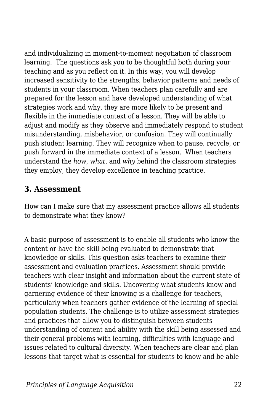and individualizing in moment-to-moment negotiation of classroom learning. The questions ask you to be thoughtful both during your teaching and as you reflect on it. In this way, you will develop increased sensitivity to the strengths, behavior patterns and needs of students in your classroom. When teachers plan carefully and are prepared for the lesson and have developed understanding of what strategies work and why, they are more likely to be present and flexible in the immediate context of a lesson. They will be able to adjust and modify as they observe and immediately respond to student misunderstanding, misbehavior, or confusion. They will continually push student learning. They will recognize when to pause, recycle, or push forward in the immediate context of a lesson. When teachers understand the *how*, *what*, and *why* behind the classroom strategies they employ, they develop excellence in teaching practice.

#### **3. Assessment**

How can I make sure that my assessment practice allows all students to demonstrate what they know?

A basic purpose of assessment is to enable all students who know the content or have the skill being evaluated to demonstrate that knowledge or skills. This question asks teachers to examine their assessment and evaluation practices. Assessment should provide teachers with clear insight and information about the current state of students' knowledge and skills. Uncovering what students know and garnering evidence of their knowing is a challenge for teachers, particularly when teachers gather evidence of the learning of special population students. The challenge is to utilize assessment strategies and practices that allow you to distinguish between students understanding of content and ability with the skill being assessed and their general problems with learning, difficulties with language and issues related to cultural diversity. When teachers are clear and plan lessons that target what is essential for students to know and be able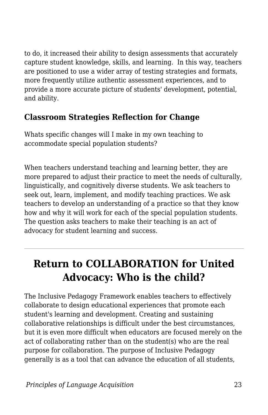to do, it increased their ability to design assessments that accurately capture student knowledge, skills, and learning. In this way, teachers are positioned to use a wider array of testing strategies and formats, more frequently utilize authentic assessment experiences, and to provide a more accurate picture of students' development, potential, and ability.

#### **Classroom Strategies Reflection for Change**

Whats specific changes will I make in my own teaching to accommodate special population students?

When teachers understand teaching and learning better, they are more prepared to adjust their practice to meet the needs of culturally, linguistically, and cognitively diverse students. We ask teachers to seek out, learn, implement, and modify teaching practices. We ask teachers to develop an understanding of a practice so that they know how and why it will work for each of the special population students. The question asks teachers to make their teaching is an act of advocacy for student learning and success.

## **Return to COLLABORATION for United Advocacy: Who is the child?**

The Inclusive Pedagogy Framework enables teachers to effectively collaborate to design educational experiences that promote each student's learning and development. Creating and sustaining collaborative relationships is difficult under the best circumstances, but it is even more difficult when educators are focused merely on the act of collaborating rather than on the student(s) who are the real purpose for collaboration. The purpose of Inclusive Pedagogy generally is as a tool that can advance the education of all students,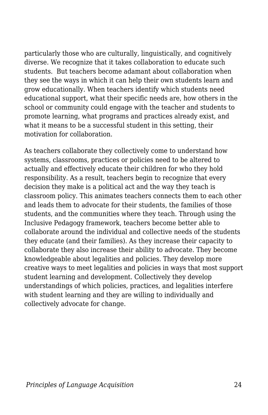particularly those who are culturally, linguistically, and cognitively diverse. We recognize that it takes collaboration to educate such students. But teachers become adamant about collaboration when they see the ways in which it can help their own students learn and grow educationally. When teachers identify which students need educational support, what their specific needs are, how others in the school or community could engage with the teacher and students to promote learning, what programs and practices already exist, and what it means to be a successful student in this setting, their motivation for collaboration.

As teachers collaborate they collectively come to understand how systems, classrooms, practices or policies need to be altered to actually and effectively educate their children for who they hold responsibility. As a result, teachers begin to recognize that every decision they make is a political act and the way they teach is classroom policy. This animates teachers connects them to each other and leads them to advocate for their students, the families of those students, and the communities where they teach. Through using the Inclusive Pedagogy framework, teachers become better able to collaborate around the individual and collective needs of the students they educate (and their families). As they increase their capacity to collaborate they also increase their ability to advocate. They become knowledgeable about legalities and policies. They develop more creative ways to meet legalities and policies in ways that most support student learning and development. Collectively they develop understandings of which policies, practices, and legalities interfere with student learning and they are willing to individually and collectively advocate for change.